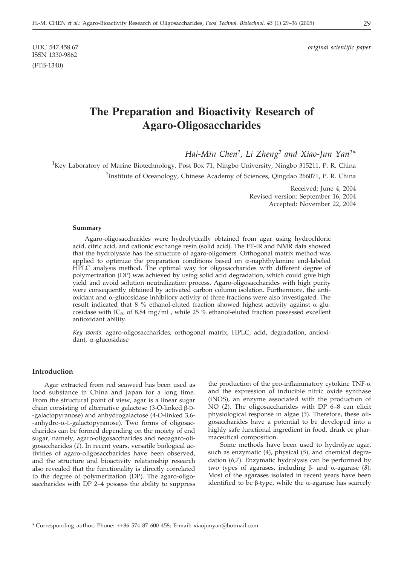ISSN 1330-9862 (FTB-1340)

UDC 547.458.67 *original scientific paper*

# **The Preparation and Bioactivity Research of Agaro-Oligosaccharides**

*Hai-Min Chen1, Li Zheng2 and Xiao-Jun Yan1\**

<sup>1</sup>Key Laboratory of Marine Biotechnology, Post Box 71, Ningbo University, Ningbo 315211, P. R. China <sup>2</sup>Institute of Oceanology, Chinese Academy of Sciences, Qingdao 266071, P. R. China

> Received: June 4, 2004 Revised version: September 16, 2004 Accepted: November 22, 2004

#### **Summary**

Agaro-oligosaccharides were hydrolytically obtained from agar using hydrochloric acid, citric acid, and cationic exchange resin (solid acid). The FT-IR and NMR data showed that the hydrolysate has the structure of agaro-oligomers. Orthogonal matrix method was applied to optimize the preparation conditions based on  $\alpha$ -naphthylamine end-labeled HPLC analysis method. The optimal way for oligosaccharides with different degree of polymerization (DP) was achieved by using solid acid degradation, which could give high yield and avoid solution neutralization process. Agaro-oligosaccharides with high purity were consequently obtained by activated carbon column isolation. Furthermore, the antioxidant and  $\alpha$ -glucosidase inhibitory activity of three fractions were also investigated. The result indicated that 8 % ethanol-eluted fraction showed highest activity against  $\alpha$ -glucosidase with  $IC_{50}$  of 8.84 mg/mL, while 25 % ethanol-eluted fraction possessed excellent antioxidant ability.

*Key words*: agaro-oligosaccharides, orthogonal matrix, HPLC, acid, degradation, antioxidant,  $\alpha$ -glucosidase

#### **Introduction**

Agar extracted from red seaweed has been used as food substance in China and Japan for a long time. From the structural point of view, agar is a linear sugar chain consisting of alternative galactose  $(3$ -O-linked  $\beta$ -D--galactopyranose) and anhydrogalactose (4-O-linked 3,6-  $-$ anhydro- $\alpha$ -L-galactopyranose). Two forms of oligosaccharides can be formed depending on the moiety of end sugar, namely, agaro-oligosaccharides and neoagaro-oligosaccharides (*1*). In recent years, versatile biological activities of agaro-oligosaccharides have been observed, and the structure and bioactivity relationship research also revealed that the functionality is directly correlated to the degree of polymerization (DP). The agaro-oligosaccharides with DP 2–4 possess the ability to suppress

the production of the pro-inflammatory cytokine TNF- $\alpha$ and the expression of inducible nitric oxide synthase (iNOS), an enzyme associated with the production of NO (*2*). The oligosaccharides with DP 6–8 can elicit physiological response in algae (*3*). Therefore, these oligosaccharides have a potential to be developed into a highly safe functional ingredient in food, drink or pharmaceutical composition.

Some methods have been used to hydrolyze agar, such as enzymatic (*4*), physical (*5*), and chemical degradation (*6,7*). Enzymatic hydrolysis can be performed by two types of agarases, including  $\beta$ - and  $\alpha$ -agarase (8). Most of the agarases isolated in recent years have been identified to be  $\beta$ -type, while the  $\alpha$ -agarase has scarcely

<sup>\*</sup> Corresponding author; Phone: ++86 574 87 600 458; E-mail: xiaojunyan@hotmail.com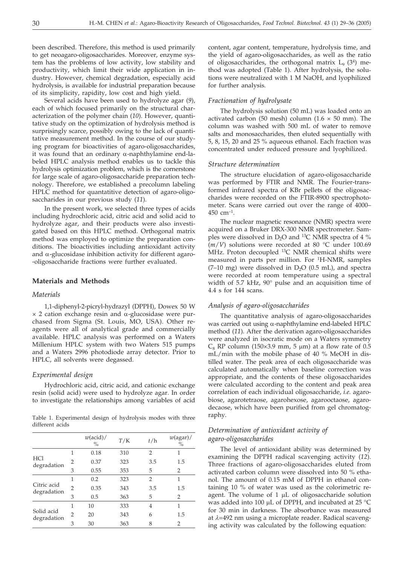been described. Therefore, this method is used primarily to get neoagaro-oligosaccharides. Moreover, enzyme system has the problems of low activity, low stability and productivity, which limit their wide application in industry. However, chemical degradation, especially acid hydrolysis, is available for industrial preparation because of its simplicity, rapidity, low cost and high yield.

Several acids have been used to hydrolyze agar (*9*), each of which focused primarily on the structural characterization of the polymer chain (*10*). However, quantitative study on the optimization of hydrolysis method is surprisingly scarce, possibly owing to the lack of quantitative measurement method. In the course of our studying program for bioactivities of agaro-oligosaccharides, it was found that an ordinary  $\alpha$ -naphthylamine end-labeled HPLC analysis method enables us to tackle this hydrolysis optimization problem, which is the cornerstone for large scale of agaro-oligosaccharide preparation technology. Therefore, we established a precolumn labeling HPLC method for quantatitive detection of agaro-oligosaccharides in our previous study (*11*).

In the present work, we selected three types of acids including hydrochloric acid, citric acid and solid acid to hydrolyze agar, and their products were also investigated based on this HPLC method. Orthogonal matrix method was employed to optimize the preparation conditions. The bioactivities including antioxidant activity and  $\alpha$ -glucosidase inhibition activity for different agaro--oligosaccharide fractions were further evaluated.

#### **Materials and Methods**

#### *Materials*

1,1-diphenyl-2-picryl-hydrazyl (DPPH), Dowex 50 W  $\times$  2 cation exchange resin and  $\alpha$ -glucosidase were purchased from Sigma (St. Louis, MO, USA). Other reagents were all of analytical grade and commercially available. HPLC analysis was performed on a Waters Millenium HPLC system with two Waters 515 pumps and a Waters 2996 photodiode array detector. Prior to HPLC, all solvents were degassed.

#### *Experimental design*

Hydrochloric acid, citric acid, and cationic exchange resin (solid acid) were used to hydrolyze agar. In order to investigate the relationships among variables of acid

Table 1. Experimental design of hydrolysis modes with three different acids

|                            |   | $w(\text{acid})/$<br>$\%$ | T/K | t/h            | $w(\text{agar})$ /<br>$\%$ |
|----------------------------|---|---------------------------|-----|----------------|----------------------------|
|                            | 1 | 0.18                      | 310 | 2              | 1                          |
| <b>HCl</b><br>degradation  | 2 | 0.37                      | 323 | 3.5            | 1.5                        |
|                            | 3 | 0.55                      | 353 | 5              | 2                          |
|                            |   | 0.2                       | 323 | $\overline{2}$ | 1                          |
| Citric acid<br>degradation | 2 | 0.35                      | 343 | 3.5            | 1.5                        |
|                            | 3 | 0.5                       | 363 | 5              | 2                          |
|                            | 1 | 10                        | 333 | 4              | 1                          |
| Solid acid<br>degradation  | 2 | 20                        | 343 | 6              | 1.5                        |
|                            | 3 | 30                        | 363 | 8              | 2                          |

content, agar content, temperature, hydrolysis time, and the yield of agaro-oligosaccharides, as well as the ratio of oligosaccharides, the orthogonal matrix  $L_9$  (3<sup>4</sup>) method was adopted (Table 1). After hydrolysis, the solutions were neutralized with 1 M NaOH, and lyophilized for further analysis.

#### *Fractionation of hydrolysate*

The hydrolysis solution (50 mL) was loaded onto an activated carbon (50 mesh) column  $(1.6 \times 50 \text{ mm})$ . The column was washed with 500 mL of water to remove salts and monosaccharides, then eluted sequentially with 5, 8, 15, 20 and 25 % aqueous ethanol. Each fraction was concentrated under reduced pressure and lyophilized.

#### *Structure determination*

The structure elucidation of agaro-oligosaccharide was performed by FTIR and NMR. The Fourier-transformed infrared spectra of KBr pellets of the oligosaccharides were recorded on the FTIR-8900 spectrophotometer. Scans were carried out over the range of 4000–  $450$  cm<sup>-1</sup>.

The nuclear magnetic resonance (NMR) spectra were acquired on a Bruker DRX-300 NMR spectrometer. Samples were dissolved in D<sub>2</sub>O and <sup>13</sup>C NMR spectra of 4  $\%$  $(m/V)$  solutions were recorded at 80 °C under 100.69 MHz. Proton decoupled <sup>13</sup>C NMR chemical shifts were measured in parts per million. For <sup>1</sup>H-NMR, samples (7-10 mg) were dissolved in  $D_2O$  (0.5 mL), and spectra were recorded at room temperature using a spectral width of 5.7 kHz, 90° pulse and an acquisition time of 4.4 s for 144 scans.

#### *Analysis of agaro-oligosaccharides*

The quantitative analysis of agaro-oligosaccharides was carried out using  $\alpha$ -naphthylamine end-labeled HPLC method (*11*). After the derivation agaro-oligosaccharides were analyzed in isocratic mode on a Waters symmetry  $C_8$  RP column (150×3.9 mm, 5 µm) at a flow rate of 0.5 mL/min with the mobile phase of 40 % MeOH in distilled water. The peak area of each oligosaccharide was calculated automatically when baseline correction was appropriate, and the contents of these oligosaccharides were calculated according to the content and peak area correlation of each individual oligosaccharide, *i.e.* agarobiose, agarotetraose, agarohexose, agarooctaose, agarodecaose, which have been purified from gel chromatography.

# *Determination of antioxidant activity of agaro-oligosaccharides*

The level of antioxidant ability was determined by examining the DPPH radical scavenging activity (*12*). Three fractions of agaro-oligosaccharides eluted from activated carbon column were dissolved into 50 % ethanol. The amount of 0.15 mM of DPPH in ethanol containing 10 % of water was used as the colorimetric reagent. The volume of  $1 \mu L$  of oligosaccharide solution was added into 100  $\mu$ L of DPPH, and incubated at 25 °C for 30 min in darkness. The absorbance was measured at  $\lambda$ =492 nm using a microplate reader. Radical scavenging activity was calculated by the following equation: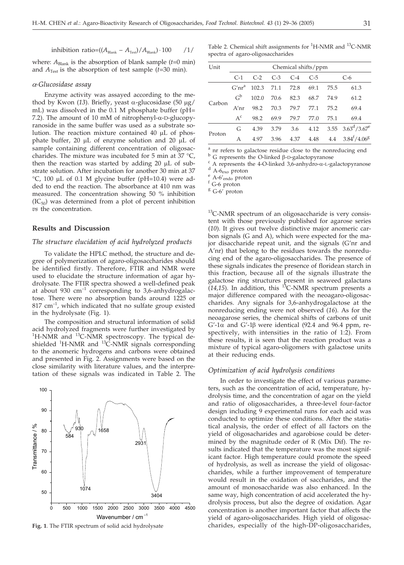inhibition ratio= $((A_{\text{Black}} - A_{\text{Test}})/A_{\text{Black}}) \cdot 100$  /1/

where:  $A_{\text{Blank}}$  is the absorption of blank sample ( $t=0$  min) and  $A_{Test}$  is the absorption of test sample ( $t=30$  min).

# *--Glucosidase assay*

Enzyme activity was assayed according to the method by Kwon (13). Briefly, yeast  $\alpha$ -glucosidase (50 µg/ mL) was dissolved in the 0.1 M phosphate buffer (pH= 7.2). The amount of 10 mM of nitrophenyl- $\alpha$ -D-glucopyranoside in the same buffer was used as a substrate solution. The reaction mixture contained  $40 \mu L$  of phosphate buffer, 20  $\mu$ L of enzyme solution and 20  $\mu$ L of sample containing different concentration of oligosaccharides. The mixture was incubated for 5 min at 37 °C, then the reaction was started by adding  $20 \mu L$  of substrate solution. After incubation for another 30 min at 37  $°C$ , 100 µL of 0.1 M glycine buffer (pH=10.4) were added to end the reaction. The absorbance at 410 nm was measured. The concentration showing 50 % inhibition  $(IC_{50})$  was determined from a plot of percent inhibition *vs* the concentration.

#### **Results and Discussion**

100

#### *The structure elucidation of acid hydrolyzed products*

To validate the HPLC method, the structure and degree of polymerization of agaro-oligosaccharides should be identified firstly. Therefore, FTIR and NMR were used to elucidate the structure information of agar hydrolysate. The FTIR spectra showed a well-defined peak at about 930  $\text{cm}^{-1}$  corresponding to 3,6-anhydrogalactose. There were no absorption bands around 1225 or  $817 \text{ cm}^{-1}$ , which indicated that no sulfate group existed in the hydrolysate (Fig. 1).

The composition and structural information of solid acid hydrolyzed fragments were further investigated by <sup>1</sup>H-NMR and <sup>13</sup>C-NMR spectroscopy. The typical deshielded <sup>1</sup>H-NMR and <sup>13</sup>C-NMR signals corresponding to the anomeric hydrogens and carbons were obtained and presented in Fig. 2. Assignments were based on the close similarity with literature values, and the interpretation of these signals was indicated in Table 2. The



**Fig. 1**. The FTIR spectrum of solid acid hydrolysate

Table 2. Chemical shift assignments for <sup>1</sup>H-NMR and <sup>13</sup>C-NMR spectra of agaro-oligosaccharides

| Unit   | Chemical shifts/ppm  |            |       |       |       |      |                               |
|--------|----------------------|------------|-------|-------|-------|------|-------------------------------|
|        | $C-1$                | $C-2$      | $C-3$ | $C-4$ | $C-5$ |      | C-6                           |
| Carbon | $G'$ nr <sup>a</sup> | 102.3 71.1 |       | 72.8  | 69.1  | 75.5 | 61.3                          |
|        | C <sub>p</sub>       | 102.0      | 70.6  | 82.3  | 68.7  | 74.9 | 61.2                          |
|        | A'nr                 | 98.2       | 70.3  | 79.7  | 77.1  | 75.2 | 69.4                          |
|        | $A^c$                | 98.2       | 69.9  | 79.7  | 77.0  | 75.1 | 69.4                          |
| Proton | G                    | 4.39       | 3.79  | 3.6   |       |      | 4.12 $3.55$ $3.63^d / 3.67^e$ |
|        | A                    | 4.97       | 3.96  | 4.37  | 4.48  | 4.4  | $3.84^{f}/4.06^{g}$           |

<sup>a</sup> nr refers to galactose residue close to the nonreducing end <sup>b</sup> G represents the O-linked  $\beta$ -D-galactopyranose

<sup>c</sup> A represents the 4-O-linked 3,6-anhydro- $\alpha$ -L-galactopyranose d A-6<sub>exo</sub> proton e A-6'<sub>endo</sub> proton f G-6 proton f G-6 proton f G-6 proton c

<sup>g</sup> G-6<sup>'</sup> proton

<sup>13</sup>C-NMR spectrum of an oligosaccharide is very consistent with those previously published for agarose series (*10*). It gives out twelve distinctive major anomeric carbon signals (G and A), which were expected for the major disaccharide repeat unit, and the signals (G'nr and A'nr) that belong to the residues towards the nonreducing end of the agaro-oligosaccharides. The presence of these signals indicates the presence of floridean starch in this fraction, because all of the signals illustrate the galactose ring structures present in seaweed galactans  $(14.15)$ . In addition, this <sup>13</sup>C-NMR spectrum presents a major difference compared with the neoagaro-oligosaccharides. Any signals for 3,6-anhydrogalactose at the nonreducing ending were not observed (*16*). As for the neoagarose series, the chemical shifts of carbons of unit  $G'$ -1 $\alpha$  and  $G'$ -1 $\beta$  were identical (92.4 and 96.4 ppm, respectively, with intensities in the ratio of 1:2). From these results, it is seen that the reaction product was a mixture of typical agaro-oligomers with galactose units at their reducing ends.

#### *Optimization of acid hydrolysis conditions*

In order to investigate the effect of various parameters, such as the concentration of acid, temperature, hydrolysis time, and the concentration of agar on the yield and ratio of oligosaccharides, a three-level four-factor design including 9 experimental runs for each acid was conducted to optimize these conditions. After the statistical analysis, the order of effect of all factors on the yield of oligosacharides and agarobiose could be determined by the magnitude order of R (Mix Dif). The results indicated that the temperature was the most significant factor. High temperature could promote the speed of hydrolysis, as well as increase the yield of oligosaccharides, while a further improvement of temperature would result in the oxidation of saccharides, and the amount of monosaccharide was also enhanced. In the same way, high concentration of acid accelerated the hydrolysis process, but also the degree of oxidation. Agar concentration is another important factor that affects the yield of agaro-oligosaccharides. High yield of oligosaccharides, especially of the high-DP-oligosaccharides,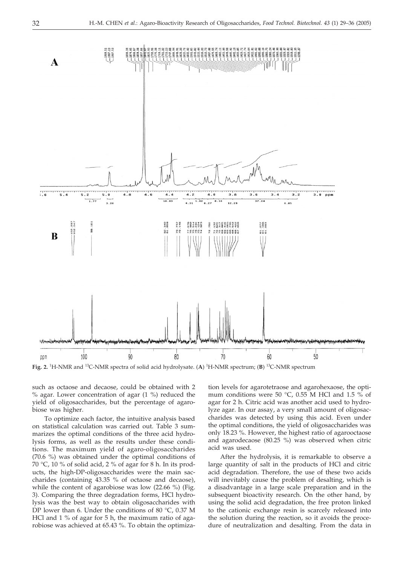

**Fig. 2.** <sup>1</sup> H-NMR and 13C-NMR spectra of solid acid hydrolysate. (**A**) <sup>1</sup> H-NMR spectrum; (**B**) 13C-NMR spectrum

such as octaose and decaose, could be obtained with 2  $%$  agar. Lower concentration of agar  $(1\%)$  reduced the yield of oligosaccharides, but the percentage of agarobiose was higher.

To optimize each factor, the intuitive analysis based on statistical calculation was carried out. Table 3 summarizes the optimal conditions of the three acid hydrolysis forms, as well as the results under these conditions. The maximum yield of agaro-oligosaccharides (70.6 %) was obtained under the optimal conditions of 70 °C, 10 % of solid acid, 2 % of agar for 8 h. In its products, the high-DP-oligosaccharides were the main saccharides (containing 43.35 % of octaose and decaose), while the content of agarobiose was low (22.66 %) (Fig. 3). Comparing the three degradation forms, HCl hydrolysis was the best way to obtain oligosaccharides with DP lower than 6. Under the conditions of 80 °C, 0.37 M HCl and 1 % of agar for 5 h, the maximum ratio of agarobiose was achieved at 65.43 %. To obtain the optimiza-

tion levels for agarotetraose and agarohexaose, the optimum conditions were 50 °C, 0.55 M HCl and 1.5 % of agar for 2 h. Citric acid was another acid used to hydrolyze agar. In our assay, a very small amount of oligosaccharides was detected by using this acid. Even under the optimal conditions, the yield of oligosaccharides was only 18.23 %. However, the highest ratio of agarooctaose and agarodecaose (80.25 %) was observed when citric acid was used.

After the hydrolysis, it is remarkable to observe a large quantity of salt in the products of HCl and citric acid degradation. Therefore, the use of these two acids will inevitably cause the problem of desalting, which is a disadvantage in a large scale preparation and in the subsequent bioactivity research. On the other hand, by using the solid acid degradation, the free proton linked to the cationic exchange resin is scarcely released into the solution during the reaction, so it avoids the procedure of neutralization and desalting. From the data in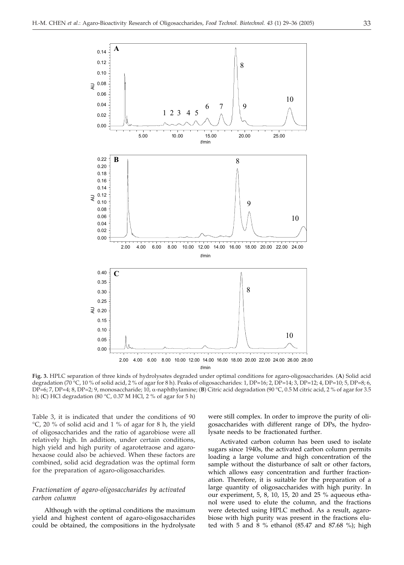

**Fig. 3.** HPLC separation of three kinds of hydrolysates degraded under optimal conditions for agaro-oligosaccharides. (**A**) Solid acid degradation (70 °C, 10 % of solid acid, 2 % of agar for 8 h). Peaks of oligosaccharides: 1, DP=16; 2, DP=14; 3, DP=12; 4, DP=10; 5, DP=8; 6, DP=6; 7, DP=4; 8, DP=2; 9, monosaccharide; 10,  $\alpha$ -naphthylamine; (B) Citric acid degradation (90 °C, 0.5 M citric acid, 2 % of agar for 3.5 h); (**C**) HCl degradation (80 °C, 0.37 M HCl, 2 % of agar for 5 h)

Table 3, it is indicated that under the conditions of 90 °C, 20 % of solid acid and 1 % of agar for 8 h, the yield of oligosaccharides and the ratio of agarobiose were all relatively high. In addition, under certain conditions, high yield and high purity of agarotetraose and agarohexaose could also be achieved. When these factors are combined, solid acid degradation was the optimal form for the preparation of agaro-oligosaccharides.

# *Fractionation of agaro-oligosaccharides by activated carbon column*

Although with the optimal conditions the maximum yield and highest content of agaro-oligosaccharides could be obtained, the compositions in the hydrolysate

were still complex. In order to improve the purity of oligosaccharides with different range of DPs, the hydrolysate needs to be fractionated further.

Activated carbon column has been used to isolate sugars since 1940s, the activated carbon column permits loading a large volume and high concentration of the sample without the disturbance of salt or other factors, which allows easy concentration and further fractionation. Therefore, it is suitable for the preparation of a large quantity of oligosaccharides with high purity. In our experiment, 5, 8, 10, 15, 20 and 25 % aqueous ethanol were used to elute the column, and the fractions were detected using HPLC method. As a result, agarobiose with high purity was present in the fractions eluted with 5 and 8 % ethanol (85.47 and 87.68 %); high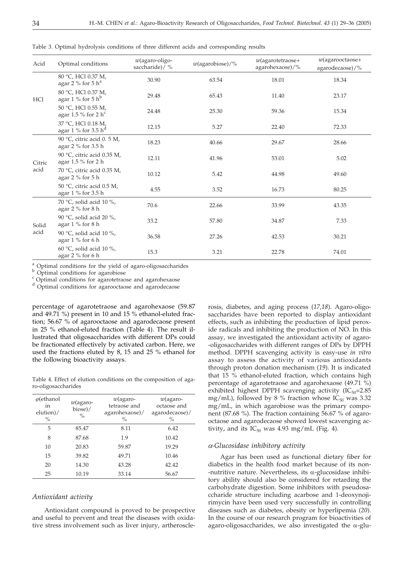|  |  |  |  |  |  |  | Table 3. Optimal hydrolysis conditions of three different acids and corresponding results |  |
|--|--|--|--|--|--|--|-------------------------------------------------------------------------------------------|--|
|--|--|--|--|--|--|--|-------------------------------------------------------------------------------------------|--|

| Acid           | Optimal conditions                                    | $w$ (agaro-oligo-<br>saccharide)/ % | $w(\text{agarobiose})/\%$ | $w$ (agarotetraose+<br>agarohexaose)/% | $w$ (agarooctaose+<br>agarodecaose)/% |
|----------------|-------------------------------------------------------|-------------------------------------|---------------------------|----------------------------------------|---------------------------------------|
| <b>HCl</b>     | 80 °C, HCl 0.37 M,<br>agar 2 % for 5 $h^a$            | 30.90                               | 63.54                     | 18.01                                  | 18.34                                 |
|                | 80 °C, HCl 0.37 M,<br>agar 1 % for 5 $h^b$            | 29.48                               | 65.43                     | 11.40                                  | 23.17                                 |
|                | 50 °C, HCl 0.55 M,<br>agar 1.5 % for 2 $h^c$          | 24.48                               | 25.30                     | 59.36                                  | 15.34                                 |
|                | 37 °C, HCl 0.18 M,<br>agar 1 % for 3.5 $h^d$          | 12.15                               | 5.27                      | 22.40                                  | 72.33                                 |
| Citric<br>acid | 90 °C, citric acid 0. 5 M,<br>agar 2 % for 3.5 h      | 18.23                               | 40.66                     | 29.67                                  | 28.66                                 |
|                | 90 °C, citric acid 0.35 M,<br>agar $1.5 \%$ for $2 h$ | 12.11                               | 41.96                     | 53.01                                  | 5.02                                  |
|                | 70 °C, citric acid 0.35 M,<br>agar 2 % for 5 h        | 10.12                               | 5.42                      | 44.98                                  | 49.60                                 |
|                | 50 °C, citric acid 0.5 M,<br>agar 1 % for 3.5 h       | 4.55                                | 3.52                      | 16.73                                  | 80.25                                 |
| Solid<br>acid  | 70 °C, solid acid 10 %,<br>agar 2 % for 8 h           | 70.6                                | 22.66                     | 33.99                                  | 43.35                                 |
|                | 90 °C, solid acid 20 %,<br>agar 1 % for 8 h           | 33.2                                | 57.80                     | 34.87                                  | 7.33                                  |
|                | 90 °C, solid acid 10 %,<br>agar $1\%$ for 6 h         | 36.58                               | 27.26                     | 42.53                                  | 30.21                                 |
|                | 60 °C, solid acid 10 %,<br>agar 2 % for 6 h           | 15.3                                | 3.21                      | 22.78                                  | 74.01                                 |

 $\alpha$  Optimal conditions for the yield of agaro-oligosaccharides b Optimal conditions for agarobiose c Optimal conditions for agarotetraose and agarohexaose

<sup>d</sup> Optimal conditions for agarooctaose and agarodecaose

percentage of agarotetraose and agarohexaose (59.87 and 49.71 %) present in 10 and 15 % ethanol-eluted fraction; 56.67 % of agarooctaose and agarodecaose present in 25 % ethanol-eluted fraction (Table 4). The result illustrated that oligosaccharides with different DPs could be fractionated effectively by activated carbon. Here, we used the fractions eluted by 8, 15 and 25 % ethanol for the following bioactivity assays.

Table 4. Effect of elution conditions on the composition of agaro-oligosaccharides

| $\varphi$ (ethanol<br>in<br>$elution$ /<br>$\%$ | $w$ (agaro-<br>biose)/<br>$\frac{0}{0}$ | $w$ (agaro-<br>tetraose and<br>agarohexaose)/<br>$\%$ | $w$ (agaro-<br>octaose and<br>agarodecaose)/<br>$\frac{0}{0}$ |
|-------------------------------------------------|-----------------------------------------|-------------------------------------------------------|---------------------------------------------------------------|
| 5                                               | 85.47                                   | 8.11                                                  | 6.42                                                          |
| 8                                               | 87.68                                   | 1.9                                                   | 10.42                                                         |
| 10                                              | 20.83                                   | 59.87                                                 | 19.29                                                         |
| 15                                              | 39.82                                   | 49.71                                                 | 10.46                                                         |
| 20                                              | 14.30                                   | 43.28                                                 | 42.42                                                         |
| 25                                              | 10.19                                   | 33.14                                                 | 56.67                                                         |

#### *Antioxidant activity*

Antioxidant compound is proved to be prospective and useful to prevent and treat the diseases with oxidative stress involvement such as liver injury, artherosclerosis, diabetes, and aging process (*17,18*). Agaro-oligosaccharides have been reported to display antioxidant effects, such as inhibiting the production of lipid peroxide radicals and inhibiting the production of NO. In this assay, we investigated the antioxidant activity of agaro- -oligosaccharides with different ranges of DPs by DPPH method. DPPH scavenging activity is easy-use *in vitro* assay to assess the activity of various antioxidants through proton donation mechanism (*19*). It is indicated that  $15\%$  ethanol-eluted fraction, which contains high percentage of agarotetraose and agarohexaose (49.71 %) exhibited highest DPPH scavenging activity  $(IC_{50}=2.85)$ mg/mL), followed by 8 % fraction whose  $IC_{50}$  was 3.32 mg/mL, in which agarobiose was the primary component (87.68 %). The fraction containing 56.67 % of agarooctaose and agarodecaose showed lowest scavenging activity, and its  $IC_{50}$  was 4.93 mg/mL (Fig. 4).

# *--Glucosidase inhibitory activity*

Agar has been used as functional dietary fiber for diabetics in the health food market because of its non- -nutritive nature. Nevertheless, its  $\alpha$ -glucosidase inhibitory ability should also be considered for retarding the carbohydrate digestion. Some inhibitors with pseudosaccharide structure including acarbose and 1-deoxynojirimycin have been used very successfully in controlling diseases such as diabetes, obesity or hyperlipemia (*20*). In the course of our research program for bioactivities of agaro-oligosaccharides, we also investigated the  $\alpha$ -glu-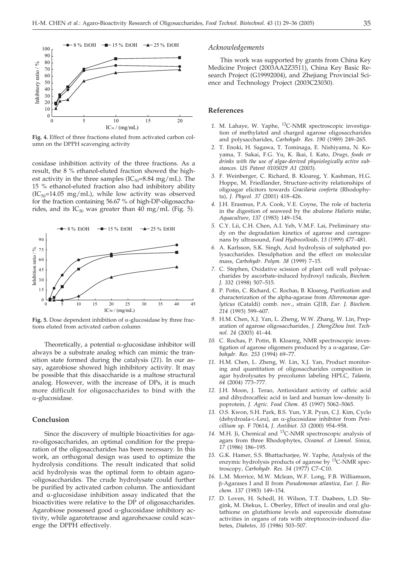

**Fig. 4.** Effect of three fractions eluted from activated carbon column on the DPPH scavenging activity

cosidase inhibition activity of the three fractions. As a result, the 8 % ethanol-eluted fraction showed the highest activity in the three samples ( $IC_{50}$ =8.84 mg/mL). The 15 % ethanol-eluted fraction also had inhibitory ability  $(IC_{50}=14.05 \text{ mg/mL})$ , while low activity was observed for the fraction containing 56.67 % of high-DP-oligosaccharides, and its  $IC_{50}$  was greater than 40 mg/mL (Fig. 5).



Fig. 5. Dose dependent inhibition of  $\alpha$ -glucosidase by three fractions eluted from activated carbon column

Theoretically, a potential  $\alpha$ -glucosidase inhibitor will always be a substrate analog which can mimic the transition state formed during the catalysis (*21*). In our assay, agarobiose showed high inhibitory activity. It may be possible that this disaccharide is a maltose structural analog. However, with the increase of DPs, it is much more difficult for oligosaccharides to bind with the  $\alpha$ -glucosidase.

# **Conclusion**

Since the discovery of multiple bioactivities for agaro-oligosaccharides, an optimal condition for the preparation of the oligosaccharides has been necessary. In this work, an orthogonal design was used to optimize the hydrolysis conditions. The result indicated that solid acid hydrolysis was the optimal form to obtain agaro- -oligosaccharides. The crude hydrolysate could further be purified by activated carbon column. The antioxidant and  $\alpha$ -glucosidase inhibition assay indicated that the bioactivities were relative to the DP of oligosaccharides. Agarobiose possessed good  $\alpha$ -glucosidase inhibitory activity, while agarotetraose and agarohexaose could scavenge the DPPH effectively.

#### *Acknowledgements*

This work was supported by grants from China Key Medicine Project (2003AA2Z3511), China Key Basic Research Project (G19992004), and Zhejiang Provincial Science and Technology Project (2003C23030).

#### **References**

- *1.* M. Lahaye, W. Yaphe, 13C-NMR spectroscopic investigation of methylated and charged agarose oligosaccharides and polysaccharides, *Carbohydr. Res. 190* (1989) 249–265.
- *2.* T. Enoki, H. Sagawa, T. Tominaga, E. Nishiyama, N. Koyama, T. Sakai, F.G. Yu, K. Ikai, I. Kato, *Drugs, foods or drinks with the use of algae-derived physiologically active substances. US Patent 0105029 A1* (2003).
- *3.* F. Weinberger, C. Richard, B. Kloareg, Y. Kashman, H.G. Hoppe, M. Friedlander, Structure-activity relationships of oligoagar elicitors towards *Gracilaria conferta* (Rhodophyta), *J. Phycol. 37* (2001) 418–426.
- *4.* J.H. Erasmus, P.A. Cook, V.E. Coyne, The role of bacteria in the digestion of seaweed by the abalone *Haliotis midae*, *Aquaculture*, *137* (1983) 149–154.
- *5.* C.Y. Lii, C.H. Chen, A.I. Yeh, V.M.F. Lai, Preliminary study on the degradation kinetics of agarose and carrageenans by ultrasound, *Food Hydrocolloids, 13* (1999) 477–481.
- *6.* A. Karlsson, S.K. Singh, Acid hydrolysis of sulphated polysaccharides. Desulphation and the effect on molecular mass, *Carbohydr. Polym. 38* (1999) 7–15.
- *7.* C. Stephen, Oxidative scission of plant cell wall polysaccharides by ascorbate-induced hydroxyl radicals, *Biochem. J. 332* (1998) 507–515.
- *8.* P. Potin, C. Richard, C. Rochas, B. Kloareg, Purification and characterization of the alpha-agarase from *Alteromonas agarlyticus* (Cataldi) comb. nov., strain GJ1B, *Eur. J. Biochem. 214* (1993) 599–607.
- *9.* H.M. Chen, X.J. Yan, L. Zheng, W.W. Zhang, W. Lin, Preparation of agarose oligosaccharides, *J. ZhengZhou Inst. Technol. 24* (2003) 41–44.
- *10.* C. Rochas, P. Potin, B. Kloareg, NMR spectroscopic investigation of agarose oligomers produced by a α-agarase, *Carbohydr. Res. 253* (1994) 69–77.
- *11.* H.M. Chen, L. Zheng, W. Lin, X.J. Yan, Product monitoring and quantitation of oligosaccharides composition in agar hydrolysates by precolumn labeling HPLC, *Talanta, 64* (2004) 773–777.
- *12.* J.H. Moon, J. Terao, Antioxidant activity of caffeic acid and dihydrocaffeic acid in lard and human low-density lipoprotein, *J. Agric. Food Chem. 45* (1997) 5062–5065.
- *13.* O.S. Kwon, S.H. Park, B.S. Yun, Y.R. Pyun, C.J. Kim, Cyclo (dehydroala-L-Leu), an α-glucosidase inhibitor from *Penicillium* sp. F 70614, *J. Antibiot. 53* (2000) 954–958.
- *14.* M.H. Ji, Chemical and 13C-NMR spectroscopic analysis of agars from three Rhodophytes, *Oceanol. et Limnol. Sinica, 17* (1986) 186–195.
- *15.* G.K. Hamer, S.S. Bhattacharjee, W. Yaphe, Analysis of the enzymic hydrolysis products of agarose by <sup>13</sup>C-NMR spectroscopy, *Carbohydr. Res. 54* (1977) C7–C10.
- *16.* L.M. Morrice, M.W. Mclean, W.F. Long, F.B. Williamson, --Agarases I and II from *Pseudomonas atlantica*, *Eur. J. Biochem. 137* (1983) 149–154.
- *17.* D. Loven, H. Schedl, H. Wilson, T.T. Daabees, L.D. Stegink, M. Diekus, L. Oberley, Effect of insulin and oral glutathione on glutathione levels and superoxide dismutase activities in organs of rats with streptozocin-induced diabetes, *Diabetes*, *35* (1986) 503–507.